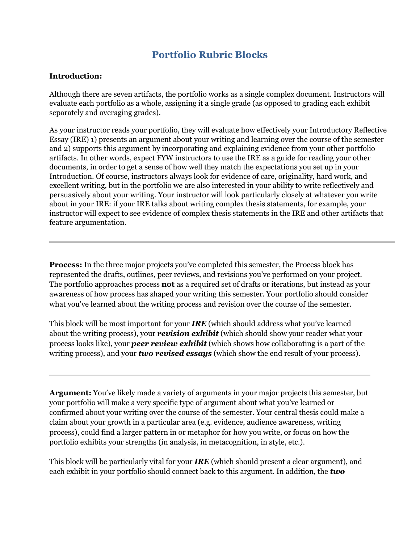## **Portfolio Rubric Blocks**

## **Introduction:**

Although there are seven artifacts, the portfolio works as a single complex document. Instructors will evaluate each portfolio as a whole, assigning it a single grade (as opposed to grading each exhibit separately and averaging grades).

As your instructor reads your portfolio, they will evaluate how effectively your Introductory Reflective Essay (IRE) 1) presents an argument about your writing and learning over the course of the semester and 2) supports this argument by incorporating and explaining evidence from your other portfolio artifacts. In other words, expect FYW instructors to use the IRE as a guide for reading your other documents, in order to get a sense of how well they match the expectations you set up in your Introduction. Of course, instructors always look for evidence of care, originality, hard work, and excellent writing, but in the portfolio we are also interested in your ability to write reflectively and persuasively about your writing. Your instructor will look particularly closely at whatever you write about in your IRE: if your IRE talks about writing complex thesis statements, for example, your instructor will expect to see evidence of complex thesis statements in the IRE and other artifacts that feature argumentation.

**Process:** In the three major projects you've completed this semester, the Process block has represented the drafts, outlines, peer reviews, and revisions you've performed on your project. The portfolio approaches process **not** as a required set of drafts or iterations, but instead as your awareness of how process has shaped your writing this semester. Your portfolio should consider what you've learned about the writing process and revision over the course of the semester.

This block will be most important for your *IRE* (which should address what you've learned about the writing process), your *revision exhibit* (which should show your reader what your process looks like), your *peer review exhibit* (which shows how collaborating is a part of the writing process), and your *two revised essays* (which show the end result of your process).

**Argument:** You've likely made a variety of arguments in your major projects this semester, but your portfolio will make a very specific type of argument about what you've learned or confirmed about your writing over the course of the semester. Your central thesis could make a claim about your growth in a particular area (e.g. evidence, audience awareness, writing process), could find a larger pattern in or metaphor for how you write, or focus on how the portfolio exhibits your strengths (in analysis, in metacognition, in style, etc.).

This block will be particularly vital for your *IRE* (which should present a clear argument), and each exhibit in your portfolio should connect back to this argument. In addition, the *two*